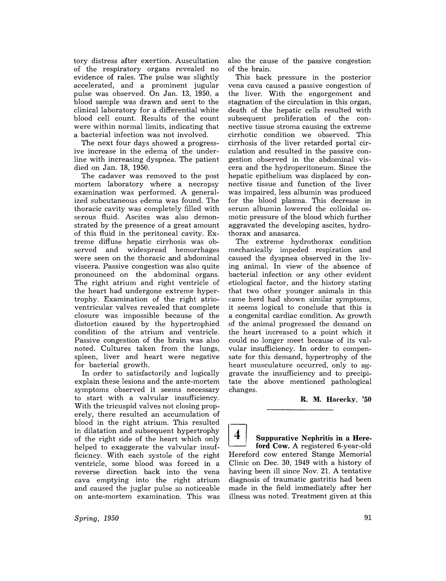tory distress after exertion. Auscultation of the respiratory organs revealed no evidence of rales. The pulse was slightly accelerated, and a prominent jugular pulse was observed. On Jan. 13, 1950, a blood sample was drawn and sent to the clinical laboratory for a differential white blood cell count. Results of the count were within normal limits, indicating that a bacterial infection was not involved.

The next four days showed a progressive increase in the edema of the underline with increasing dyspnea. The patient died on Jan. 18, 1950.

The cadaver was removed to the post mortem laboratory where a necropsy examination was performed. A generalized subcutaneous edema was found. The thoracic cavity was completely filled with serous fluid. Ascites was also demonstrated by the presence of a great amount of this fluid in the peritoneal cavity. Extreme diffuse hepatic cirrhosis was observed and widespread hemorrhages were seen on the thoracic and abdominal viscera. Passive congestion was also quite pronounced on the abdominal organs. The right atrium and right ventricle of the heart had undergone extreme hypertrophy. Examination of the right atrioventricular valves revealed that complete closure was impossible because of the distortion caused by the hypertrophied condition of the atrium and ventricle. Passive congestion of the brain was also noted. Cultures taken from the lungs, spleen, liver and heart were negative for bacterial growth.

In order to satisfactorily and logically explain these lesions and the ante-mortem symptoms observed it seems necessary to start with a valvular insufficiency. With the tricuspid valves not closing properely, there resulted an accumulation of blood in the right atrium. This resulted in dilatation and subsequent hypertrophy of the right side of the heart which only helped to exaggerate the valvular insufficiency. With each systole of the right ventricle, some blood was forced in a reverse direction back into the vena cava emptying into the right atrium and caused the juglar pulse so noticeable on ante-mortem examination. This was

*Spring, 1950* 

also the cause of the passive congestion of the brain.

This back pressure in the posterior vena cava caused a passive congestion of the liver. With the engorgement and stagnation of the circulation in this organ, death of the hepatic cells resulted with subsequent proliferation of the connective tissue stroma causing the extreme cirrhotic condition we observed. This cirrhosis of the liver retarded portal circulation and resulted in the passive congestion observed in the abdominal viscera and the hydroperitoneum. Since the hepatic epithelium was displaced by connective tissue and function of the liver was impaired, less albumin was produced for the blood plasma. This decrease in serum albumin lowered the colloidal osmotic pressure of the blood which further aggravated the developing ascites, hydrothorax and anasarca.

The extreme hydrothorax condition mechanically impeded respiration and caused the dyspnea observed in the living animal. In view of the absence of bacterial infection or any other evident etiological factor, and the history stating that two other younger animals in this same herd had shown similar symptoms, it seems logical to conclude that this is a congenital cardiac condition. As growth of the animal progressed the demand on the heart increased to a point which it could no longer meet because of its valvular insufficiency. In order to compensate for this demand, hypertrophy of the heart musculature occurred, only to aggravate the insufficiency and to precipitate the above mentioned pathological changes.

R. M. Hacecky, '50

I] Suppurative Nephritis in a Here-ford Cow. A registered 6-year-old Hereford cow entered Stange Memorial Clinic on Dec. 30, 1949 with a history of having been ill since Nov. 21. A tentative diagnosis of traumatic gastritis had been made in the field immediately after her illness was noted. Treatment given at this